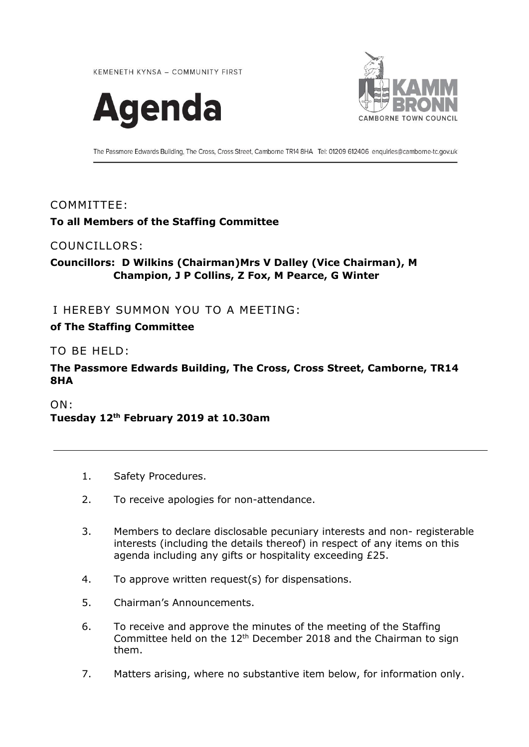KEMENETH KYNSA - COMMUNITY FIRST





The Passmore Edwards Building, The Cross, Cross Street, Camborne TR14 8HA Tel: 01209 612406 enquiries@camborne-tc.gov.uk

#### COMMITTEE:

## **To all Members of the Staffing Committee**

#### COUNCILLORS:

## **Councillors: D Wilkins (Chairman)Mrs V Dalley (Vice Chairman), M Champion, J P Collins, Z Fox, M Pearce, G Winter**

## I HEREBY SUMMON YOU TO A MEETING:

#### **of The Staffing Committee**

#### TO BE HELD:

## **The Passmore Edwards Building, The Cross, Cross Street, Camborne, TR14 8HA**

ON:

**Tuesday 12 th February 2019 at 10.30am**

- 1. Safety Procedures.
- 2. To receive apologies for non-attendance.
- 3. Members to declare disclosable pecuniary interests and non- registerable interests (including the details thereof) in respect of any items on this agenda including any gifts or hospitality exceeding £25.
- 4. To approve written request(s) for dispensations.
- 5. Chairman's Announcements.
- 6. To receive and approve the minutes of the meeting of the Staffing Committee held on the 12<sup>th</sup> December 2018 and the Chairman to sign them.
- 7. Matters arising, where no substantive item below, for information only.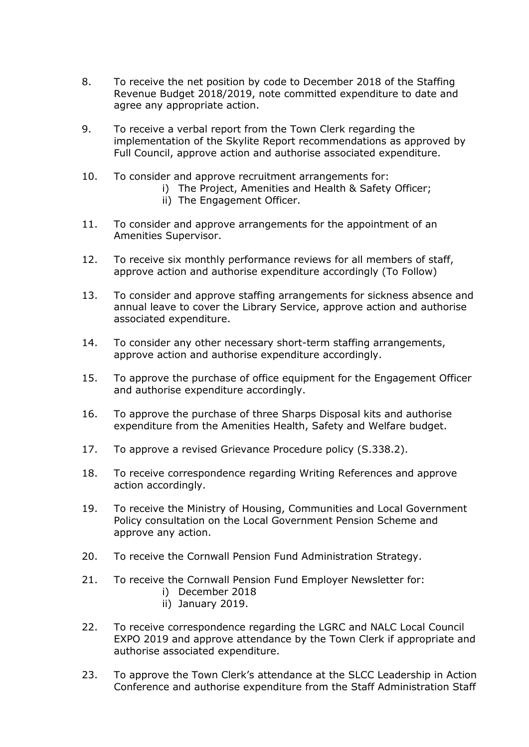- 8. To receive the net position by code to December 2018 of the Staffing Revenue Budget 2018/2019, note committed expenditure to date and agree any appropriate action.
- 9. To receive a verbal report from the Town Clerk regarding the implementation of the Skylite Report recommendations as approved by Full Council, approve action and authorise associated expenditure.
- 10. To consider and approve recruitment arrangements for:
	- i) The Project, Amenities and Health & Safety Officer;
	- ii) The Engagement Officer.
- 11. To consider and approve arrangements for the appointment of an Amenities Supervisor.
- 12. To receive six monthly performance reviews for all members of staff, approve action and authorise expenditure accordingly (To Follow)
- 13. To consider and approve staffing arrangements for sickness absence and annual leave to cover the Library Service, approve action and authorise associated expenditure.
- 14. To consider any other necessary short-term staffing arrangements, approve action and authorise expenditure accordingly.
- 15. To approve the purchase of office equipment for the Engagement Officer and authorise expenditure accordingly.
- 16. To approve the purchase of three Sharps Disposal kits and authorise expenditure from the Amenities Health, Safety and Welfare budget.
- 17. To approve a revised Grievance Procedure policy (S.338.2).
- 18. To receive correspondence regarding Writing References and approve action accordingly.
- 19. To receive the Ministry of Housing, Communities and Local Government Policy consultation on the Local Government Pension Scheme and approve any action.
- 20. To receive the Cornwall Pension Fund Administration Strategy.
- 21. To receive the Cornwall Pension Fund Employer Newsletter for:
	- i) December 2018
	- ii) January 2019.
- 22. To receive correspondence regarding the LGRC and NALC Local Council EXPO 2019 and approve attendance by the Town Clerk if appropriate and authorise associated expenditure.
- 23. To approve the Town Clerk's attendance at the SLCC Leadership in Action Conference and authorise expenditure from the Staff Administration Staff